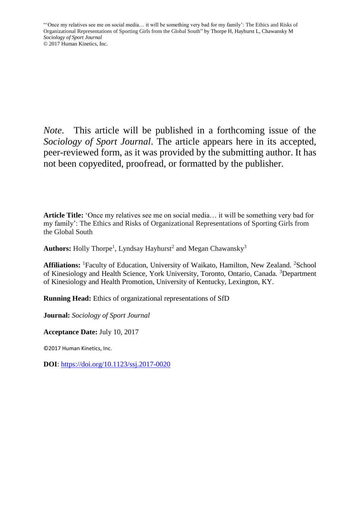*Note*. This article will be published in a forthcoming issue of the *Sociology of Sport Journal*. The article appears here in its accepted, peer-reviewed form, as it was provided by the submitting author. It has not been copyedited, proofread, or formatted by the publisher.

**Article Title:** 'Once my relatives see me on social media… it will be something very bad for my family': The Ethics and Risks of Organizational Representations of Sporting Girls from the Global South

Authors: Holly Thorpe<sup>1</sup>, Lyndsay Hayhurst<sup>2</sup> and Megan Chawansky<sup>3</sup>

Affiliations: <sup>1</sup>Faculty of Education, University of Waikato, Hamilton, New Zealand. <sup>2</sup>School of Kinesiology and Health Science, York University, Toronto, Ontario, Canada. <sup>3</sup>Department of Kinesiology and Health Promotion, University of Kentucky, Lexington, KY.

**Running Head:** Ethics of organizational representations of SfD

**Journal:** *Sociology of Sport Journal*

**Acceptance Date:** July 10, 2017

©2017 Human Kinetics, Inc.

**DOI**:<https://doi.org/10.1123/ssj.2017-0020>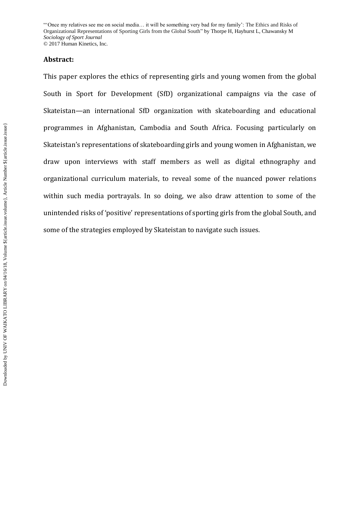#### **Abstract:**

This paper explores the ethics of representing girls and young women from the global South in Sport for Development (SfD) organizational campaigns via the case of Skateistan—an international SfD organization with skateboarding and educational programmes in Afghanistan, Cambodia and South Africa. Focusing particularly on Skateistan's representations of skateboarding girls and young women in Afghanistan, we draw upon interviews with staff members as well as digital ethnography and organizational curriculum materials, to reveal some of the nuanced power relations within such media portrayals. In so doing, we also draw attention to some of the unintended risks of 'positive' representations of sporting girls from the global South, and some of the strategies employed by Skateistan to navigate such issues.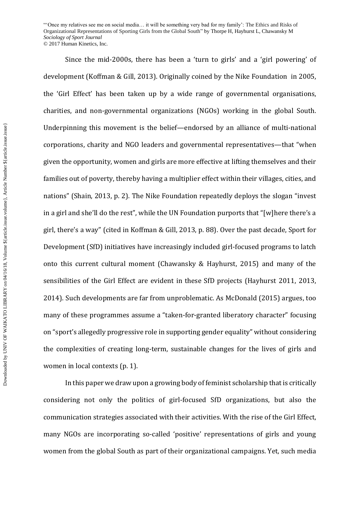Since the mid-2000s, there has been a 'turn to girls' and a 'girl powering' of development (Koffman & Gill, 2013). Originally coined by the Nike Foundation in 2005, the 'Girl Effect' has been taken up by a wide range of governmental organisations, charities, and non-governmental organizations (NGOs) working in the global South. Underpinning this movement is the belief—endorsed by an alliance of multi-national corporations, charity and NGO leaders and governmental representatives—that "when given the opportunity, women and girls are more effective at lifting themselves and their families out of poverty, thereby having a multiplier effect within their villages, cities, and nations" (Shain, 2013, p. 2). The Nike Foundation repeatedly deploys the slogan "invest in a girl and she'll do the rest", while the UN Foundation purports that "[w]here there's a girl, there's a way" (cited in Koffman & Gill, 2013, p. 88). Over the past decade, Sport for Development (SfD) initiatives have increasingly included girl-focused programs to latch onto this current cultural moment (Chawansky & Hayhurst, 2015) and many of the sensibilities of the Girl Effect are evident in these SfD projects (Hayhurst 2011, 2013, 2014). Such developments are far from unproblematic. As McDonald (2015) argues, too many of these programmes assume a "taken-for-granted liberatory character" focusing on "sport's allegedly progressive role in supporting gender equality" without considering the complexities of creating long-term, sustainable changes for the lives of girls and women in local contexts (p. 1).

In this paper we draw upon a growing body of feminist scholarship that is critically considering not only the politics of girl-focused SfD organizations, but also the communication strategies associated with their activities. With the rise of the Girl Effect, many NGOs are incorporating so-called 'positive' representations of girls and young women from the global South as part of their organizational campaigns. Yet, such media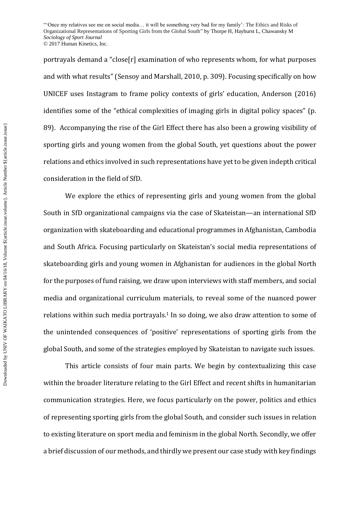portrayals demand a "close[r] examination of who represents whom, for what purposes and with what results" (Sensoy and Marshall, 2010, p. 309). Focusing specifically on how UNICEF uses Instagram to frame policy contexts of girls' education, Anderson (2016) identifies some of the "ethical complexities of imaging girls in digital policy spaces" (p. 89). Accompanying the rise of the Girl Effect there has also been a growing visibility of sporting girls and young women from the global South, yet questions about the power relations and ethics involved in such representations have yet to be given indepth critical consideration in the field of SfD.

We explore the ethics of representing girls and young women from the global South in SfD organizational campaigns via the case of Skateistan—an international SfD organization with skateboarding and educational programmes in Afghanistan, Cambodia and South Africa. Focusing particularly on Skateistan's social media representations of skateboarding girls and young women in Afghanistan for audiences in the global North for the purposes of fund raising, we draw upon interviews with staff members, and social media and organizational curriculum materials, to reveal some of the nuanced power relations within such media portrayals.<sup>1</sup> In so doing, we also draw attention to some of the unintended consequences of 'positive' representations of sporting girls from the global South, and some of the strategies employed by Skateistan to navigate such issues.

This article consists of four main parts. We begin by contextualizing this case within the broader literature relating to the Girl Effect and recent shifts in humanitarian communication strategies. Here, we focus particularly on the power, politics and ethics of representing sporting girls from the global South, and consider such issues in relation to existing literature on sport media and feminism in the global North. Secondly, we offer a brief discussion of our methods, and thirdly we present our case study with key findings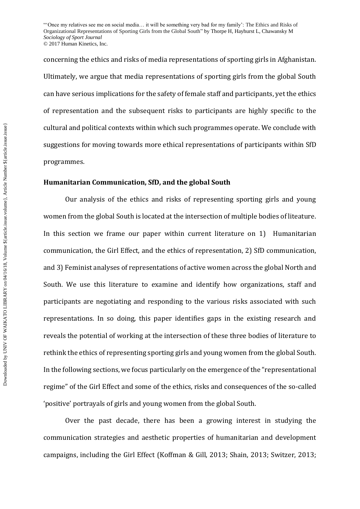concerning the ethics and risks of media representations of sporting girls in Afghanistan. Ultimately, we argue that media representations of sporting girls from the global South can have serious implications for the safety of female staff and participants, yet the ethics of representation and the subsequent risks to participants are highly specific to the cultural and political contexts within which such programmes operate. We conclude with suggestions for moving towards more ethical representations of participants within SfD programmes.

### **Humanitarian Communication, SfD, and the global South**

Our analysis of the ethics and risks of representing sporting girls and young women from the global South is located at the intersection of multiple bodies of liteature. In this section we frame our paper within current literature on 1) Humanitarian communication, the Girl Effect, and the ethics of representation, 2) SfD communication, and 3) Feminist analyses of representations of active women across the global North and South. We use this literature to examine and identify how organizations, staff and participants are negotiating and responding to the various risks associated with such representations. In so doing, this paper identifies gaps in the existing research and reveals the potential of working at the intersection of these three bodies of literature to rethink the ethics of representing sporting girls and young women from the global South. In the following sections, we focus particularly on the emergence of the "representational regime" of the Girl Effect and some of the ethics, risks and consequences of the so-called 'positive' portrayals of girls and young women from the global South.

Over the past decade, there has been a growing interest in studying the communication strategies and aesthetic properties of humanitarian and development campaigns, including the Girl Effect (Koffman & Gill, 2013; Shain, 2013; Switzer, 2013;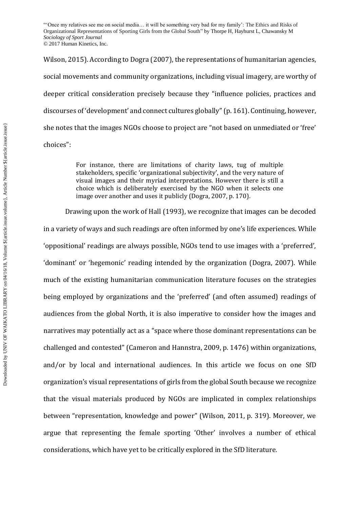Wilson, 2015). According to Dogra (2007), the representations of humanitarian agencies, social movements and community organizations, including visual imagery, are worthy of deeper critical consideration precisely because they "influence policies, practices and discourses of 'development' and connect cultures globally" (p. 161). Continuing, however, she notes that the images NGOs choose to project are "not based on unmediated or 'free' choices":

> For instance, there are limitations of charity laws, tug of multiple stakeholders, specific 'organizational subjectivity', and the very nature of visual images and their myriad interpretations. However there is still a choice which is deliberately exercised by the NGO when it selects one image over another and uses it publicly (Dogra, 2007, p. 170).

Drawing upon the work of Hall (1993), we recognize that images can be decoded in a variety of ways and such readings are often informed by one's life experiences. While 'oppositional' readings are always possible, NGOs tend to use images with a 'preferred', 'dominant' or 'hegemonic' reading intended by the organization (Dogra, 2007). While much of the existing humanitarian communication literature focuses on the strategies being employed by organizations and the 'preferred' (and often assumed) readings of audiences from the global North, it is also imperative to consider how the images and narratives may potentially act as a "space where those dominant representations can be challenged and contested" (Cameron and Hannstra, 2009, p. 1476) within organizations, and/or by local and international audiences. In this article we focus on one SfD organization's visual representations of girls from the global South because we recognize that the visual materials produced by NGOs are implicated in complex relationships between "representation, knowledge and power" (Wilson, 2011, p. 319). Moreover, we argue that representing the female sporting 'Other' involves a number of ethical considerations, which have yet to be critically explored in the SfD literature.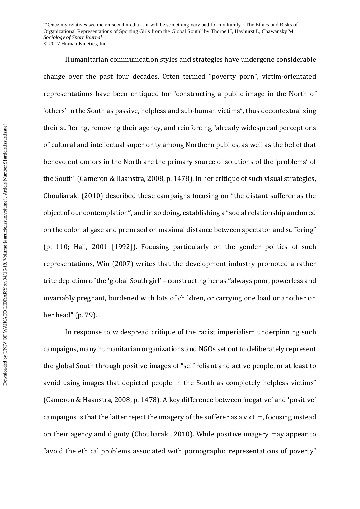Humanitarian communication styles and strategies have undergone considerable change over the past four decades. Often termed "poverty porn", victim-orientated representations have been critiqued for "constructing a public image in the North of 'others' in the South as passive, helpless and sub-human victims", thus decontextualizing their suffering, removing their agency, and reinforcing "already widespread perceptions of cultural and intellectual superiority among Northern publics, as well as the belief that benevolent donors in the North are the primary source of solutions of the 'problems' of the South" (Cameron & Haanstra, 2008, p. 1478). In her critique of such visual strategies, Chouliaraki (2010) described these campaigns focusing on "the distant sufferer as the object of our contemplation", and in so doing, establishing a "social relationship anchored on the colonial gaze and premised on maximal distance between spectator and suffering" (p. 110; Hall, 2001 [1992]). Focusing particularly on the gender politics of such representations, Win (2007) writes that the development industry promoted a rather trite depiction of the 'global South girl' – constructing her as "always poor, powerless and invariably pregnant, burdened with lots of children, or carrying one load or another on her head" (p. 79).

In response to widespread critique of the racist imperialism underpinning such campaigns, many humanitarian organizations and NGOs set out to deliberately represent the global South through positive images of "self reliant and active people, or at least to avoid using images that depicted people in the South as completely helpless victims" (Cameron & Haanstra, 2008, p. 1478). A key difference between 'negative' and 'positive' campaigns is that the latter reject the imagery of the sufferer as a victim, focusing instead on their agency and dignity (Chouliaraki, 2010). While positive imagery may appear to "avoid the ethical problems associated with pornographic representations of poverty"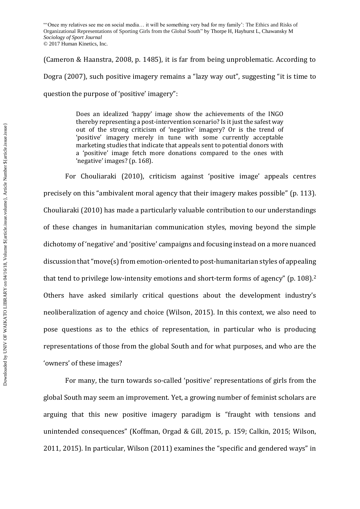(Cameron & Haanstra, 2008, p. 1485), it is far from being unproblematic. According to Dogra (2007), such positive imagery remains a "lazy way out", suggesting "it is time to question the purpose of 'positive' imagery":

> Does an idealized 'happy' image show the achievements of the INGO thereby representing a post-intervention scenario? Is it just the safest way out of the strong criticism of 'negative' imagery? Or is the trend of 'positive' imagery merely in tune with some currently acceptable marketing studies that indicate that appeals sent to potential donors with a 'positive' image fetch more donations compared to the ones with 'negative' images? (p. 168).

For Chouliaraki (2010), criticism against 'positive image' appeals centres precisely on this "ambivalent moral agency that their imagery makes possible" (p. 113). Chouliaraki (2010) has made a particularly valuable contribution to our understandings of these changes in humanitarian communication styles, moving beyond the simple dichotomy of 'negative' and 'positive' campaigns and focusing instead on a more nuanced discussion that "move(s) from emotion-oriented to post-humanitarian styles of appealing that tend to privilege low-intensity emotions and short-term forms of agency" (p. 108).<sup>2</sup> Others have asked similarly critical questions about the development industry's neoliberalization of agency and choice (Wilson, 2015). In this context, we also need to pose questions as to the ethics of representation, in particular who is producing representations of those from the global South and for what purposes, and who are the 'owners' of these images?

For many, the turn towards so-called 'positive' representations of girls from the global South may seem an improvement. Yet, a growing number of feminist scholars are arguing that this new positive imagery paradigm is "fraught with tensions and unintended consequences" (Koffman, Orgad & Gill, 2015, p. 159; Calkin, 2015; Wilson, 2011, 2015). In particular, Wilson (2011) examines the "specific and gendered ways" in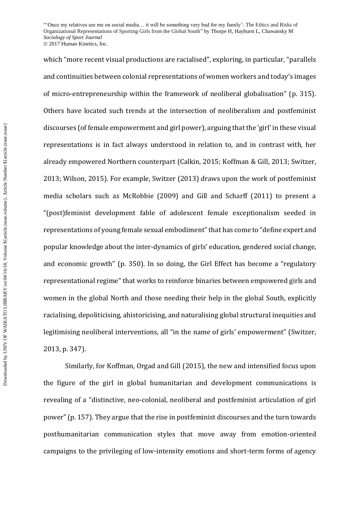© 2017 Human Kinetics, Inc.

which "more recent visual productions are racialised", exploring, in particular, "parallels and continuities between colonial representations of women workers and today's images of micro-entrepreneurship within the framework of neoliberal globalisation" (p. 315). Others have located such trends at the intersection of neoliberalism and postfeminist discourses (of female empowerment and girl power), arguing that the 'girl' in these visual representations is in fact always understood in relation to, and in contrast with, her already empowered Northern counterpart (Calkin, 2015; Koffman & Gill, 2013; Switzer, 2013; Wilson, 2015). For example, Switzer (2013) draws upon the work of postfeminist media scholars such as McRobbie (2009) and Gill and Scharff (2011) to present a "(post)feminist development fable of adolescent female exceptionalism seeded in representations of young female sexual embodiment" that has come to "define expert and popular knowledge about the inter-dynamics of girls' education, gendered social change, and economic growth" (p. 350). In so doing, the Girl Effect has become a "regulatory representational regime" that works to reinforce binaries between empowered girls and women in the global North and those needing their help in the global South, explicitly racialising, depoliticising, ahistoricising, and naturalising global structural inequities and legitimising neoliberal interventions, all "in the name of girls' empowerment" (Switzer, 2013, p. 347).

Similarly, for Koffman, Orgad and Gill (2015), the new and intensified focus upon the figure of the girl in global humanitarian and development communications is revealing of a "distinctive, neo-colonial, neoliberal and postfeminist articulation of girl power" (p. 157). They argue that the rise in postfeminist discourses and the turn towards posthumanitarian communication styles that move away from emotion-oriented campaigns to the privileging of low-intensity emotions and short-term forms of agency

<sup>&</sup>quot;'Once my relatives see me on social media… it will be something very bad for my family': The Ethics and Risks of Organizational Representations of Sporting Girls from the Global South" by Thorpe H, Hayhurst L, Chawansky M *Sociology of Sport Journal*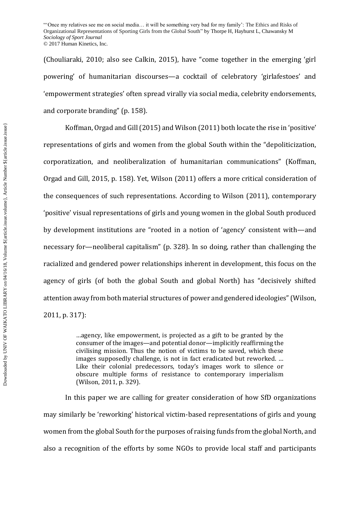(Chouliaraki, 2010; also see Calkin, 2015), have "come together in the emerging 'girl powering' of humanitarian discourses—a cocktail of celebratory 'girlafestoes' and 'empowerment strategies' often spread virally via social media, celebrity endorsements, and corporate branding" (p. 158).

Koffman, Orgad and Gill (2015) and Wilson (2011) both locate the rise in 'positive' representations of girls and women from the global South within the "depoliticization, corporatization, and neoliberalization of humanitarian communications" (Koffman, Orgad and Gill, 2015, p. 158). Yet, Wilson (2011) offers a more critical consideration of the consequences of such representations. According to Wilson (2011), contemporary 'positive' visual representations of girls and young women in the global South produced by development institutions are "rooted in a notion of 'agency' consistent with—and necessary for—neoliberal capitalism" (p. 328). In so doing, rather than challenging the racialized and gendered power relationships inherent in development, this focus on the agency of girls (of both the global South and global North) has "decisively shifted attention away from both material structures of power and gendered ideologies" (Wilson, 2011, p. 317):

> …agency, like empowerment, is projected as a gift to be granted by the consumer of the images—and potential donor—implicitly reaffirming the civilising mission. Thus the notion of victims to be saved, which these images supposedly challenge, is not in fact eradicated but reworked. … Like their colonial predecessors, today's images work to silence or obscure multiple forms of resistance to contemporary imperialism (Wilson, 2011, p. 329).

In this paper we are calling for greater consideration of how SfD organizations may similarly be 'reworking' historical victim-based representations of girls and young women from the global South for the purposes of raising funds from the global North, and also a recognition of the efforts by some NGOs to provide local staff and participants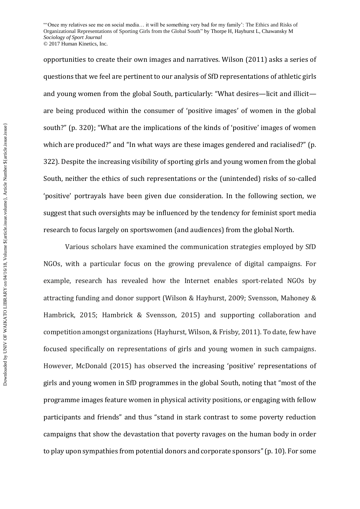opportunities to create their own images and narratives. Wilson (2011) asks a series of questions that we feel are pertinent to our analysis of SfD representations of athletic girls and young women from the global South, particularly: "What desires—licit and illicit are being produced within the consumer of 'positive images' of women in the global south?" (p. 320); "What are the implications of the kinds of 'positive' images of women which are produced?" and "In what ways are these images gendered and racialised?" (p. 322). Despite the increasing visibility of sporting girls and young women from the global South, neither the ethics of such representations or the (unintended) risks of so-called 'positive' portrayals have been given due consideration. In the following section, we suggest that such oversights may be influenced by the tendency for feminist sport media research to focus largely on sportswomen (and audiences) from the global North.

Various scholars have examined the communication strategies employed by SfD NGOs, with a particular focus on the growing prevalence of digital campaigns. For example, research has revealed how the Internet enables sport-related NGOs by attracting funding and donor support (Wilson & Hayhurst, 2009; Svensson, Mahoney & Hambrick, 2015; Hambrick & Svensson, 2015) and supporting collaboration and competition amongst organizations (Hayhurst, Wilson, & Frisby, 2011). To date, few have focused specifically on representations of girls and young women in such campaigns. However, McDonald (2015) has observed the increasing 'positive' representations of girls and young women in SfD programmes in the global South, noting that "most of the programme images feature women in physical activity positions, or engaging with fellow participants and friends" and thus "stand in stark contrast to some poverty reduction campaigns that show the devastation that poverty ravages on the human body in order to play upon sympathies from potential donors and corporate sponsors" (p. 10). For some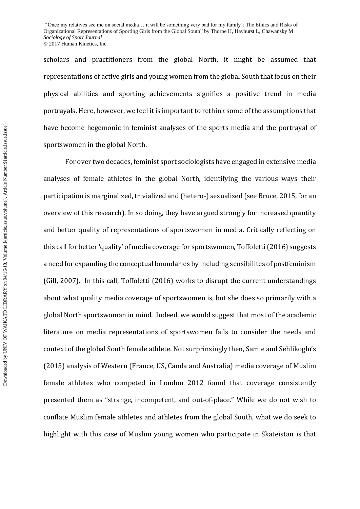scholars and practitioners from the global North, it might be assumed that representations of active girls and young women from the global South that focus on their physical abilities and sporting achievements signifies a positive trend in media portrayals. Here, however, we feel it is important to rethink some of the assumptions that have become hegemonic in feminist analyses of the sports media and the portrayal of sportswomen in the global North.

For over two decades, feminist sport sociologists have engaged in extensive media analyses of female athletes in the global North, identifying the various ways their participation is marginalized, trivialized and (hetero-) sexualized (see Bruce, 2015, for an overview of this research). In so doing, they have argued strongly for increased quantity and better quality of representations of sportswomen in media. Critically reflecting on this call for better 'quality' of media coverage for sportswomen, Toffoletti (2016) suggests a need for expanding the conceptual boundaries by including sensibilites of postfeminism (Gill, 2007). In this call, Toffoletti (2016) works to disrupt the current understandings about what quality media coverage of sportswomen is, but she does so primarily with a global North sportswoman in mind. Indeed, we would suggest that most of the academic literature on media representations of sportswomen fails to consider the needs and context of the global South female athlete. Not surprinsingly then, Samie and Sehlikoglu's (2015) analysis of Western (France, US, Canda and Australia) media coverage of Muslim female athletes who competed in London 2012 found that coverage consistently presented them as "strange, incompetent, and out-of-place." While we do not wish to conflate Muslim female athletes and athletes from the global South, what we do seek to highlight with this case of Muslim young women who participate in Skateistan is that

<sup>&</sup>quot;'Once my relatives see me on social media… it will be something very bad for my family': The Ethics and Risks of Organizational Representations of Sporting Girls from the Global South" by Thorpe H, Hayhurst L, Chawansky M *Sociology of Sport Journal* © 2017 Human Kinetics, Inc.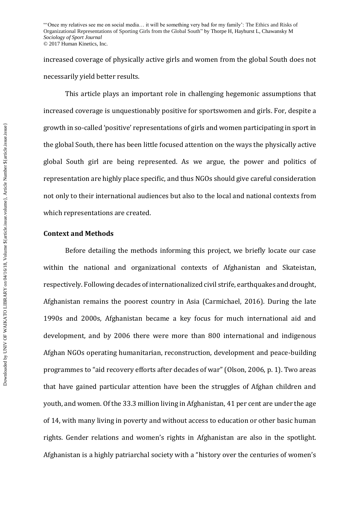increased coverage of physically active girls and women from the global South does not necessarily yield better results.

This article plays an important role in challenging hegemonic assumptions that increased coverage is unquestionably positive for sportswomen and girls. For, despite a growth in so-called 'positive' representations of girls and women participating in sport in the global South, there has been little focused attention on the ways the physically active global South girl are being represented. As we argue, the power and politics of representation are highly place specific, and thus NGOs should give careful consideration not only to their international audiences but also to the local and national contexts from which representations are created.

## **Context and Methods**

Before detailing the methods informing this project, we briefly locate our case within the national and organizational contexts of Afghanistan and Skateistan, respectively. Following decades of internationalized civil strife, earthquakes and drought, Afghanistan remains the poorest country in Asia (Carmichael, 2016). During the late 1990s and 2000s, Afghanistan became a key focus for much international aid and development, and by 2006 there were more than 800 international and indigenous Afghan NGOs operating humanitarian, reconstruction, development and peace-building programmes to "aid recovery efforts after decades of war" (Olson, 2006, p. 1). Two areas that have gained particular attention have been the struggles of Afghan children and youth, and women. Of the 33.3 million living in Afghanistan, 41 per cent are under the age of 14, with many living in poverty and without access to education or other basic human rights. Gender relations and women's rights in Afghanistan are also in the spotlight. Afghanistan is a highly patriarchal society with a "history over the centuries of women's

<sup>&</sup>quot;'Once my relatives see me on social media… it will be something very bad for my family': The Ethics and Risks of Organizational Representations of Sporting Girls from the Global South" by Thorpe H, Hayhurst L, Chawansky M *Sociology of Sport Journal* © 2017 Human Kinetics, Inc.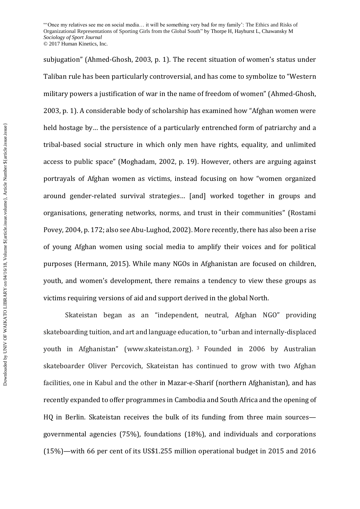subjugation" (Ahmed-Ghosh, 2003, p. 1). The recent situation of women's status under Taliban rule has been particularly controversial, and has come to symbolize to "Western military powers a justification of war in the name of freedom of women" (Ahmed-Ghosh, 2003, p. 1). A considerable body of scholarship has examined how "Afghan women were held hostage by… the persistence of a particularly entrenched form of patriarchy and a tribal-based social structure in which only men have rights, equality, and unlimited access to public space" (Moghadam, 2002, p. 19). However, others are arguing against portrayals of Afghan women as victims, instead focusing on how "women organized around gender-related survival strategies… [and] worked together in groups and organisations, generating networks, norms, and trust in their communities" (Rostami Povey, 2004, p. 172; also see Abu-Lughod, 2002). More recently, there has also been a rise of young Afghan women using social media to amplify their voices and for political purposes (Hermann, 2015). While many NGOs in Afghanistan are focused on children, youth, and women's development, there remains a tendency to view these groups as victims requiring versions of aid and support derived in the global North.

Skateistan began as an "independent, neutral, Afghan NGO" providing skateboarding tuition, and art and language education, to "urban and internally-displaced youth in Afghanistan" (www.skateistan.org). <sup>3</sup> Founded in 2006 by Australian skateboarder Oliver Percovich, Skateistan has continued to grow with two Afghan facilities, one in Kabul and the other in Mazar-e-Sharif (northern Afghanistan), and has recently expanded to offer programmes in Cambodia and South Africa and the opening of HQ in Berlin. Skateistan receives the bulk of its funding from three main sources governmental agencies (75%), foundations (18%), and individuals and corporations (15%)—with 66 per cent of its US\$1.255 million operational budget in 2015 and 2016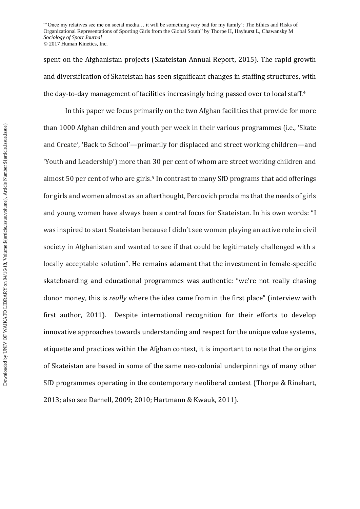© 2017 Human Kinetics, Inc.

spent on the Afghanistan projects (Skateistan Annual Report, 2015). The rapid growth and diversification of Skateistan has seen significant changes in staffing structures, with the day-to-day management of facilities increasingly being passed over to local staff.<sup>4</sup>

In this paper we focus primarily on the two Afghan facilities that provide for more than 1000 Afghan children and youth per week in their various programmes (i.e., 'Skate and Create', 'Back to School'—primarily for displaced and street working children—and 'Youth and Leadership') more than 30 per cent of whom are street working children and almost 50 per cent of who are girls.<sup>5</sup> In contrast to many SfD programs that add offerings for girls and women almost as an afterthought, Percovich proclaims that the needs of girls and young women have always been a central focus for Skateistan. In his own words: "I was inspired to start Skateistan because I didn't see women playing an active role in civil society in Afghanistan and wanted to see if that could be legitimately challenged with a locally acceptable solution". He remains adamant that the investment in female-specific skateboarding and educational programmes was authentic: "we're not really chasing donor money, this is *really* where the idea came from in the first place" (interview with first author, 2011). Despite international recognition for their efforts to develop innovative approaches towards understanding and respect for the unique value systems, etiquette and practices within the Afghan context, it is important to note that the origins of Skateistan are based in some of the same neo-colonial underpinnings of many other SfD programmes operating in the contemporary neoliberal context (Thorpe & Rinehart, 2013; also see Darnell, 2009; 2010; Hartmann & Kwauk, 2011).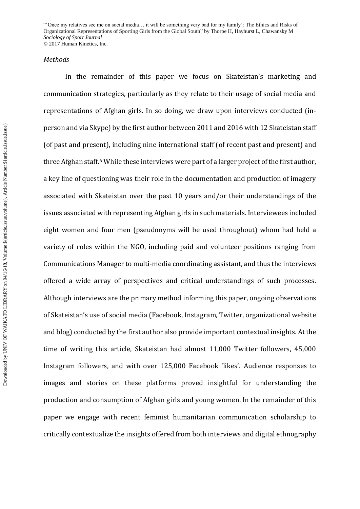#### *Methods*

In the remainder of this paper we focus on Skateistan's marketing and communication strategies, particularly as they relate to their usage of social media and representations of Afghan girls. In so doing, we draw upon interviews conducted (inperson and via Skype) by the first author between 2011 and 2016 with 12 Skateistan staff (of past and present), including nine international staff (of recent past and present) and three Afghan staff.<sup>6</sup> While these interviews were part of a larger project of the first author, a key line of questioning was their role in the documentation and production of imagery associated with Skateistan over the past 10 years and/or their understandings of the issues associated with representing Afghan girls in such materials. Interviewees included eight women and four men (pseudonyms will be used throughout) whom had held a variety of roles within the NGO, including paid and volunteer positions ranging from Communications Manager to multi-media coordinating assistant, and thus the interviews offered a wide array of perspectives and critical understandings of such processes. Although interviews are the primary method informing this paper, ongoing observations of Skateistan's use of social media (Facebook, Instagram, Twitter, organizational website and blog) conducted by the first author also provide important contextual insights. At the time of writing this article, Skateistan had almost 11,000 Twitter followers, 45,000 Instagram followers, and with over 125,000 Facebook 'likes'. Audience responses to images and stories on these platforms proved insightful for understanding the production and consumption of Afghan girls and young women. In the remainder of this paper we engage with recent feminist humanitarian communication scholarship to critically contextualize the insights offered from both interviews and digital ethnography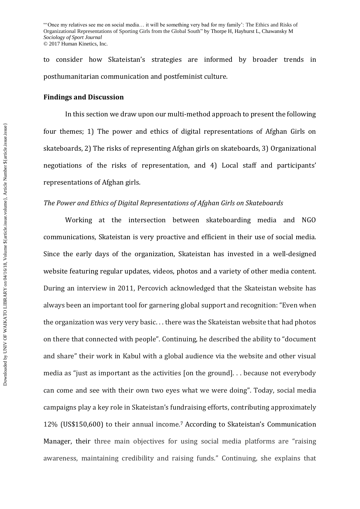to consider how Skateistan's strategies are informed by broader trends in posthumanitarian communication and postfeminist culture.

### **Findings and Discussion**

In this section we draw upon our multi-method approach to present the following four themes; 1) The power and ethics of digital representations of Afghan Girls on skateboards, 2) The risks of representing Afghan girls on skateboards, 3) Organizational negotiations of the risks of representation, and 4) Local staff and participants' representations of Afghan girls.

#### *The Power and Ethics of Digital Representations of Afghan Girls on Skateboards*

Working at the intersection between skateboarding media and NGO communications, Skateistan is very proactive and efficient in their use of social media. Since the early days of the organization, Skateistan has invested in a well-designed website featuring regular updates, videos, photos and a variety of other media content. During an interview in 2011, Percovich acknowledged that the Skateistan website has always been an important tool for garnering global support and recognition: "Even when the organization was very very basic. . . there was the Skateistan website that had photos on there that connected with people". Continuing, he described the ability to "document and share" their work in Kabul with a global audience via the website and other visual media as "just as important as the activities [on the ground]. . . because not everybody can come and see with their own two eyes what we were doing". Today, social media campaigns play a key role in Skateistan's fundraising efforts, contributing approximately 12% (US\$150,600) to their annual income.<sup>7</sup> According to Skateistan's Communication Manager, their three main objectives for using social media platforms are "raising awareness, maintaining credibility and raising funds." Continuing, she explains that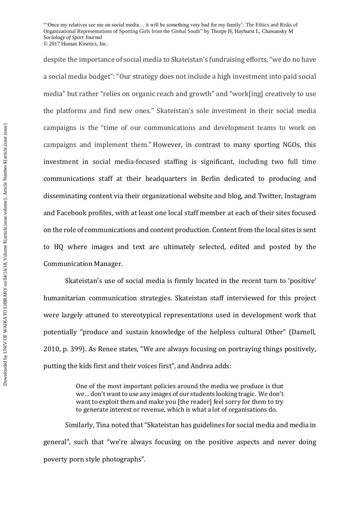despite the importance of social media to Skateistan's fundraising efforts, "we do no have a social media budget": "Our strategy does not include a high investment into paid social media" but rather "relies on organic reach and growth" and "work[ing] creatively to use the platforms and find new ones." Skateistan's sole investment in their social media campaigns is the "time of our communications and development teams to work on campaigns and implement them." However, in contrast to many sporting NGOs, this investment in social media-focused staffing is significant, including two full time communications staff at their headquarters in Berlin dedicated to producing and disseminating content via their organizational website and blog, and Twitter, Instagram and Facebook profiles, with at least one local staff member at each of their sites focused on the role of communications and content production. Content from the local sites is sent to HQ where images and text are ultimately selected, edited and posted by the Communication Manager.

Skateistan's use of social media is firmly located in the recent turn to 'positive' humanitarian communication strategies. Skateistan staff interviewed for this project were largely attuned to stereotypical representations used in development work that potentially "produce and sustain knowledge of the helpless cultural Other" (Darnell, 2010, p. 399). As Renee states, "We are always focusing on portraying things positively, putting the kids first and their voices first", and Andrea adds:

> One of the most important policies around the media we produce is that we… don't want to use any images of our students looking tragic. We don't want to exploit them and make you [the reader] feel sorry for them to try to generate interest or revenue, which is what a lot of organisations do.

Similarly, Tina noted that "Skateistan has guidelines for social media and media in general", such that "we're always focusing on the positive aspects and never doing poverty porn style photographs".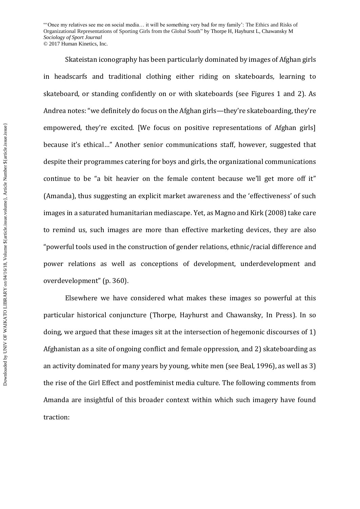Skateistan iconography has been particularly dominated by images of Afghan girls in headscarfs and traditional clothing either riding on skateboards, learning to skateboard, or standing confidently on or with skateboards (see Figures 1 and 2). As Andrea notes: "we definitely do focus on the Afghan girls—they're skateboarding, they're empowered, they're excited. [We focus on positive representations of Afghan girls] because it's ethical…" Another senior communications staff, however, suggested that despite their programmes catering for boys and girls, the organizational communications continue to be "a bit heavier on the female content because we'll get more off it" (Amanda), thus suggesting an explicit market awareness and the 'effectiveness' of such images in a saturated humanitarian mediascape. Yet, as Magno and Kirk (2008) take care to remind us, such images are more than effective marketing devices, they are also "powerful tools used in the construction of gender relations, ethnic/racial difference and power relations as well as conceptions of development, underdevelopment and overdevelopment" (p. 360).

Elsewhere we have considered what makes these images so powerful at this particular historical conjuncture (Thorpe, Hayhurst and Chawansky, In Press). In so doing, we argued that these images sit at the intersection of hegemonic discourses of 1) Afghanistan as a site of ongoing conflict and female oppression, and 2) skateboarding as an activity dominated for many years by young, white men (see Beal, 1996), as well as 3) the rise of the Girl Effect and postfeminist media culture. The following comments from Amanda are insightful of this broader context within which such imagery have found traction: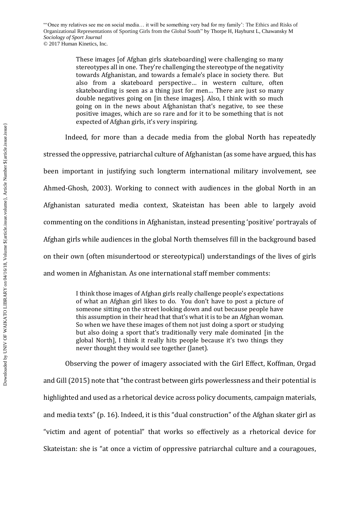© 2017 Human Kinetics, Inc.

These images [of Afghan girls skateboarding] were challenging so many stereotypes all in one. They're challenging the stereotype of the negativity towards Afghanistan, and towards a female's place in society there. But also from a skateboard perspective… in western culture, often skateboarding is seen as a thing just for men… There are just so many double negatives going on [in these images]. Also, I think with so much going on in the news about Afghanistan that's negative, to see these positive images, which are so rare and for it to be something that is not expected of Afghan girls, it's very inspiring.

Indeed, for more than a decade media from the global North has repeatedly stressed the oppressive, patriarchal culture of Afghanistan (as some have argued, this has been important in justifying such longterm international military involvement, see Ahmed-Ghosh, 2003). Working to connect with audiences in the global North in an Afghanistan saturated media context, Skateistan has been able to largely avoid commenting on the conditions in Afghanistan, instead presenting 'positive' portrayals of Afghan girls while audiences in the global North themselves fill in the background based on their own (often misundertood or stereotypical) understandings of the lives of girls and women in Afghanistan. As one international staff member comments:

> I think those images of Afghan girls really challenge people's expectations of what an Afghan girl likes to do. You don't have to post a picture of someone sitting on the street looking down and out because people have this assumption in their head that that's what it is to be an Afghan woman. So when we have these images of them not just doing a sport or studying but also doing a sport that's traditionally very male dominated [in the global North], I think it really hits people because it's two things they never thought they would see together (Janet).

Observing the power of imagery associated with the Girl Effect, Koffman, Orgad and Gill (2015) note that "the contrast between girls powerlessness and their potential is highlighted and used as a rhetorical device across policy documents, campaign materials, and media texts" (p. 16). Indeed, it is this "dual construction" of the Afghan skater girl as "victim and agent of potential" that works so effectively as a rhetorical device for Skateistan: she is "at once a victim of oppressive patriarchal culture and a couragoues,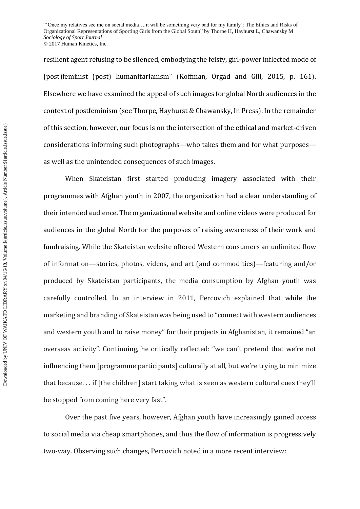resilient agent refusing to be silenced, embodying the feisty, girl-power inflected mode of (post)feminist (post) humanitarianism" (Koffman, Orgad and Gill, 2015, p. 161). Elsewhere we have examined the appeal of such images for global North audiences in the context of postfeminism (see Thorpe, Hayhurst & Chawansky, In Press). In the remainder of this section, however, our focus is on the intersection of the ethical and market-driven considerations informing such photographs—who takes them and for what purposes as well as the unintended consequences of such images.

When Skateistan first started producing imagery associated with their programmes with Afghan youth in 2007, the organization had a clear understanding of their intended audience. The organizational website and online videos were produced for audiences in the global North for the purposes of raising awareness of their work and fundraising. While the Skateistan website offered Western consumers an unlimited flow of information—stories, photos, videos, and art (and commodities)—featuring and/or produced by Skateistan participants, the media consumption by Afghan youth was carefully controlled. In an interview in 2011, Percovich explained that while the marketing and branding of Skateistan was being used to "connect with western audiences and western youth and to raise money" for their projects in Afghanistan, it remained "an overseas activity". Continuing, he critically reflected: "we can't pretend that we're not influencing them [programme participants] culturally at all, but we're trying to minimize that because. . . if [the children] start taking what is seen as western cultural cues they'll be stopped from coming here very fast".

Over the past five years, however, Afghan youth have increasingly gained access to social media via cheap smartphones, and thus the flow of information is progressively two-way. Observing such changes, Percovich noted in a more recent interview: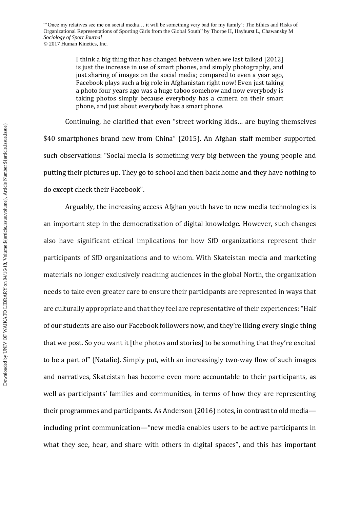© 2017 Human Kinetics, Inc.

I think a big thing that has changed between when we last talked [2012] is just the increase in use of smart phones, and simply photography, and just sharing of images on the social media; compared to even a year ago, Facebook plays such a big role in Afghanistan right now! Even just taking a photo four years ago was a huge taboo somehow and now everybody is taking photos simply because everybody has a camera on their smart phone, and just about everybody has a smart phone.

Continuing, he clarified that even "street working kids… are buying themselves \$40 smartphones brand new from China" (2015). An Afghan staff member supported such observations: "Social media is something very big between the young people and putting their pictures up. They go to school and then back home and they have nothing to do except check their Facebook".

Arguably, the increasing access Afghan youth have to new media technologies is an important step in the democratization of digital knowledge. However, such changes also have significant ethical implications for how SfD organizations represent their participants of SfD organizations and to whom. With Skateistan media and marketing materials no longer exclusively reaching audiences in the global North, the organization needs to take even greater care to ensure their participants are represented in ways that are culturally appropriate and that they feel are representative of their experiences: "Half of our students are also our Facebook followers now, and they're liking every single thing that we post. So you want it [the photos and stories] to be something that they're excited to be a part of" (Natalie). Simply put, with an increasingly two-way flow of such images and narratives, Skateistan has become even more accountable to their participants, as well as participants' families and communities, in terms of how they are representing their programmes and participants. As Anderson (2016) notes, in contrast to old media including print communication—"new media enables users to be active participants in what they see, hear, and share with others in digital spaces", and this has important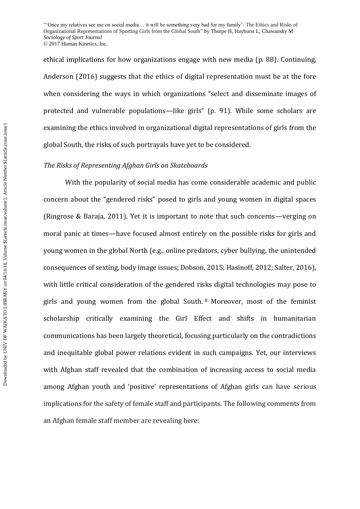ethical implications for how organizations engage with new media (p. 88). Continuing, Anderson (2016) suggests that the ethics of digital representation must be at the fore when considering the ways in which organizations "select and disseminate images of protected and vulnerable populations—like girls" (p. 91). While some scholars are examining the ethics involved in organizational digital representations of girls from the global South, the risks of such portrayals have yet to be considered.

### *The Risks of Representing Afghan Girls on Skateboards*

With the popularity of social media has come considerable academic and public concern about the "gendered risks" posed to girls and young women in digital spaces (Ringrose & Baraja, 2011). Yet it is important to note that such concerns—verging on moral panic at times—have focused almost entirely on the possible risks for girls and young women in the global North (e.g., online predators, cyber bullying, the unintended consequences of sexting, body image issues; Dobson, 2015; Hasinoff, 2012; Salter, 2016), with little critical consideration of the gendered risks digital technologies may pose to girls and young women from the global South. <sup>8</sup> Moreover, most of the feminist scholarship critically examining the Girl Effect and shifts in humanitarian communications has been largely theoretical, focusing particularly on the contradictions and inequitable global power relations evident in such campaigns. Yet, our interviews with Afghan staff revealed that the combination of increasing access to social media among Afghan youth and 'positive' representations of Afghan girls can have serious implications for the safety of female staff and participants. The following comments from an Afghan female staff member are revealing here: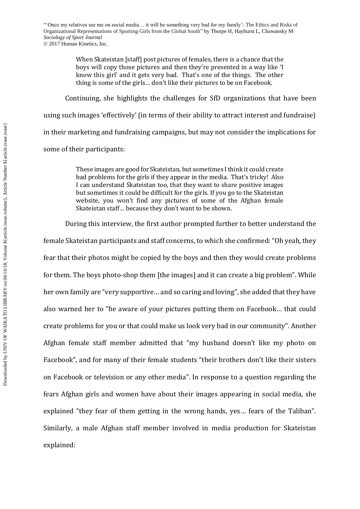> When Skateistan [staff] post pictures of females, there is a chance that the boys will copy those pictures and then they're presented in a way like 'I know this girl' and it gets very bad. That's one of the things. The other thing is some of the girls… don't like their pictures to be on Facebook.

Continuing, she highlights the challenges for SfD organizations that have been using such images 'effectively' (in terms of their ability to attract interest and fundraise) in their marketing and fundraising campaigns, but may not consider the implications for some of their participants:

> These images are good for Skateistan, but sometimes I think it could create bad problems for the girls if they appear in the media. That's tricky! Also I can understand Skateistan too, that they want to share positive images but sometimes it could be difficult for the girls. If you go to the Skateistan website, you won't find any pictures of some of the Afghan female Skateistan staff… because they don't want to be shown.

During this interview, the first author prompted further to better understand the

female Skateistan participants and staff concerns, to which she confirmed: "Oh yeah, they fear that their photos might be copied by the boys and then they would create problems for them. The boys photo-shop them [the images] and it can create a big problem". While her own family are "very supportive… and so caring and loving", she added that they have also warned her to "be aware of your pictures putting them on Facebook… that could create problems for you or that could make us look very bad in our community". Another Afghan female staff member admitted that "my husband doesn't like my photo on Facebook", and for many of their female students "their brothers don't like their sisters on Facebook or television or any other media". In response to a question regarding the fears Afghan girls and women have about their images appearing in social media, she explained "they fear of them getting in the wrong hands, yes… fears of the Taliban". Similarly, a male Afghan staff member involved in media production for Skateistan explained: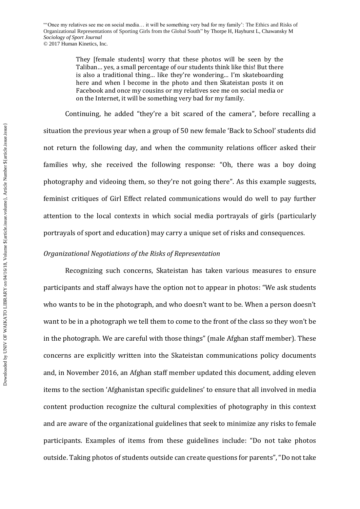© 2017 Human Kinetics, Inc.

They [female students] worry that these photos will be seen by the Taliban… yes, a small percentage of our students think like this! But there is also a traditional thing… like they're wondering… I'm skateboarding here and when I become in the photo and then Skateistan posts it on Facebook and once my cousins or my relatives see me on social media or on the Internet, it will be something very bad for my family.

Continuing, he added "they're a bit scared of the camera", before recalling a situation the previous year when a group of 50 new female 'Back to School' students did not return the following day, and when the community relations officer asked their families why, she received the following response: "Oh, there was a boy doing photography and videoing them, so they're not going there". As this example suggests, feminist critiques of Girl Effect related communications would do well to pay further attention to the local contexts in which social media portrayals of girls (particularly portrayals of sport and education) may carry a unique set of risks and consequences.

### *Organizational Negotiations of the Risks of Representation*

Recognizing such concerns, Skateistan has taken various measures to ensure participants and staff always have the option not to appear in photos: "We ask students who wants to be in the photograph, and who doesn't want to be. When a person doesn't want to be in a photograph we tell them to come to the front of the class so they won't be in the photograph. We are careful with those things" (male Afghan staff member). These concerns are explicitly written into the Skateistan communications policy documents and, in November 2016, an Afghan staff member updated this document, adding eleven items to the section 'Afghanistan specific guidelines' to ensure that all involved in media content production recognize the cultural complexities of photography in this context and are aware of the organizational guidelines that seek to minimize any risks to female participants. Examples of items from these guidelines include: "Do not take photos outside. Taking photos of students outside can create questions for parents", "Do not take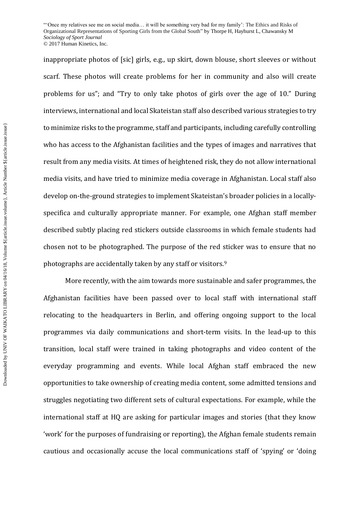inappropriate photos of [sic] girls, e.g., up skirt, down blouse, short sleeves or without scarf. These photos will create problems for her in community and also will create problems for us"; and "Try to only take photos of girls over the age of 10." During interviews, international and local Skateistan staff also described various strategies to try to minimize risks to the programme, staff and participants, including carefully controlling who has access to the Afghanistan facilities and the types of images and narratives that result from any media visits. At times of heightened risk, they do not allow international media visits, and have tried to minimize media coverage in Afghanistan. Local staff also develop on-the-ground strategies to implement Skateistan's broader policies in a locallyspecifica and culturally appropriate manner. For example, one Afghan staff member described subtly placing red stickers outside classrooms in which female students had chosen not to be photographed. The purpose of the red sticker was to ensure that no photographs are accidentally taken by any staff or visitors.<sup>9</sup>

More recently, with the aim towards more sustainable and safer programmes, the Afghanistan facilities have been passed over to local staff with international staff relocating to the headquarters in Berlin, and offering ongoing support to the local programmes via daily communications and short-term visits. In the lead-up to this transition, local staff were trained in taking photographs and video content of the everyday programming and events. While local Afghan staff embraced the new opportunities to take ownership of creating media content, some admitted tensions and struggles negotiating two different sets of cultural expectations. For example, while the international staff at HQ are asking for particular images and stories (that they know 'work' for the purposes of fundraising or reporting), the Afghan female students remain cautious and occasionally accuse the local communications staff of 'spying' or 'doing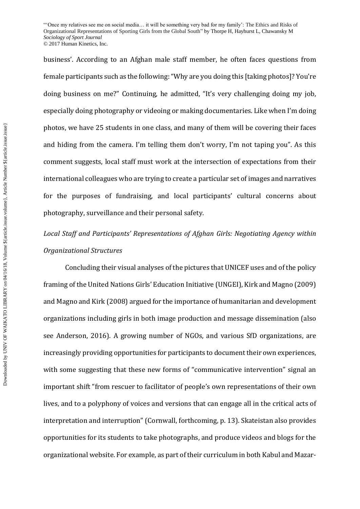business'. According to an Afghan male staff member, he often faces questions from female participants such as the following:"Why are you doing this [taking photos]? You're doing business on me?" Continuing, he admitted, "It's very challenging doing my job, especially doing photography or videoing or making documentaries. Like when I'm doing photos, we have 25 students in one class, and many of them will be covering their faces and hiding from the camera. I'm telling them don't worry, I'm not taping you". As this comment suggests, local staff must work at the intersection of expectations from their international colleagues who are trying to create a particular set of images and narratives for the purposes of fundraising, and local participants' cultural concerns about photography, surveillance and their personal safety.

# *Local Staff and Participants' Representations of Afghan Girls: Negotiating Agency within Organizational Structures*

Concluding their visual analyses of the pictures that UNICEF uses and of the policy framing of the United Nations Girls' Education Initiative (UNGEI), Kirk and Magno (2009) and Magno and Kirk (2008) argued for the importance of humanitarian and development organizations including girls in both image production and message dissemination (also see Anderson, 2016). A growing number of NGOs, and various SfD organizations, are increasingly providing opportunities for participants to document their own experiences, with some suggesting that these new forms of "communicative intervention" signal an important shift "from rescuer to facilitator of people's own representations of their own lives, and to a polyphony of voices and versions that can engage all in the critical acts of interpretation and interruption" (Cornwall, forthcoming, p. 13). Skateistan also provides opportunities for its students to take photographs, and produce videos and blogs for the organizational website. For example, as part of their curriculum in both Kabul and Mazar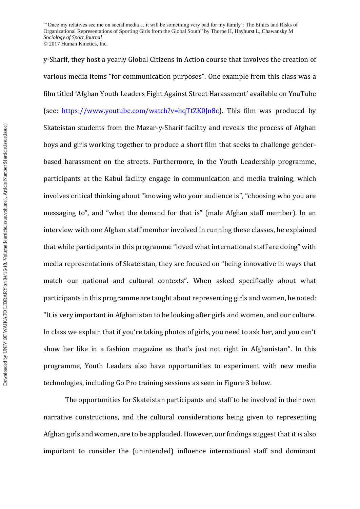y-Sharif, they host a yearly Global Citizens in Action course that involves the creation of various media items "for communication purposes". One example from this class was a film titled 'Afghan Youth Leaders Fight Against Street Harassment' available on YouTube (see: [https://www.youtube.com/watch?v=hqTtZK0Jn8c\)](https://www.youtube.com/watch?v=hqTtZK0Jn8c). This film was produced by Skateistan students from the Mazar-y-Sharif facility and reveals the process of Afghan boys and girls working together to produce a short film that seeks to challenge genderbased harassment on the streets. Furthermore, in the Youth Leadership programme, participants at the Kabul facility engage in communication and media training, which involves critical thinking about "knowing who your audience is", "choosing who you are messaging to", and "what the demand for that is" (male Afghan staff member). In an interview with one Afghan staff member involved in running these classes, he explained that while participants in this programme "loved what international staff are doing" with media representations of Skateistan, they are focused on "being innovative in ways that match our national and cultural contexts". When asked specifically about what participants in this programme are taught about representing girls and women, he noted: "It is very important in Afghanistan to be looking after girls and women, and our culture. In class we explain that if you're taking photos of girls, you need to ask her, and you can't show her like in a fashion magazine as that's just not right in Afghanistan". In this programme, Youth Leaders also have opportunities to experiment with new media technologies, including Go Pro training sessions as seen in Figure 3 below.

The opportunities for Skateistan participants and staff to be involved in their own narrative constructions, and the cultural considerations being given to representing Afghan girls and women, are to be applauded. However, our findings suggest that it is also important to consider the (unintended) influence international staff and dominant

<sup>&</sup>quot;'Once my relatives see me on social media… it will be something very bad for my family': The Ethics and Risks of Organizational Representations of Sporting Girls from the Global South" by Thorpe H, Hayhurst L, Chawansky M *Sociology of Sport Journal* © 2017 Human Kinetics, Inc.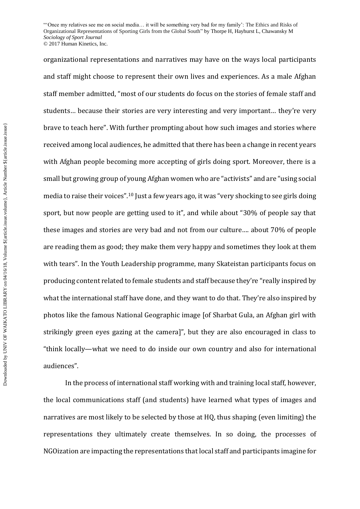organizational representations and narratives may have on the ways local participants and staff might choose to represent their own lives and experiences. As a male Afghan staff member admitted, "most of our students do focus on the stories of female staff and students… because their stories are very interesting and very important… they're very brave to teach here". With further prompting about how such images and stories where received among local audiences, he admitted that there has been a change in recent years with Afghan people becoming more accepting of girls doing sport. Moreover, there is a small but growing group of young Afghan women who are "activists" and are "using social media to raise their voices".<sup>10</sup> Just a few years ago, it was "very shocking to see girls doing sport, but now people are getting used to it", and while about "30% of people say that these images and stories are very bad and not from our culture…. about 70% of people are reading them as good; they make them very happy and sometimes they look at them with tears". In the Youth Leadership programme, many Skateistan participants focus on producing content related to female students and staff because they're "really inspired by what the international staff have done, and they want to do that. They're also inspired by photos like the famous National Geographic image [of Sharbat Gula, an Afghan girl with strikingly green eyes gazing at the camera]", but they are also encouraged in class to "think locally—what we need to do inside our own country and also for international audiences".

In the process of international staff working with and training local staff, however, the local communications staff (and students) have learned what types of images and narratives are most likely to be selected by those at HQ, thus shaping (even limiting) the representations they ultimately create themselves. In so doing, the processes of NGOization are impacting the representations that local staff and participants imagine for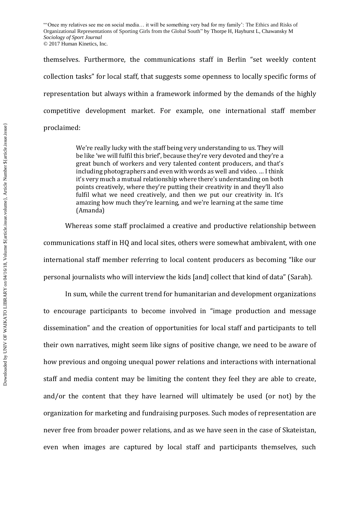themselves. Furthermore, the communications staff in Berlin "set weekly content collection tasks" for local staff, that suggests some openness to locally specific forms of representation but always within a framework informed by the demands of the highly competitive development market. For example, one international staff member proclaimed:

> We're really lucky with the staff being very understanding to us. They will be like 'we will fulfil this brief', because they're very devoted and they're a great bunch of workers and very talented content producers, and that's including photographers and even with words as well and video. … I think it's very much a mutual relationship where there's understanding on both points creatively, where they're putting their creativity in and they'll also fulfil what we need creatively, and then we put our creativity in. It's amazing how much they're learning, and we're learning at the same time (Amanda)

Whereas some staff proclaimed a creative and productive relationship between communications staff in HQ and local sites, others were somewhat ambivalent, with one international staff member referring to local content producers as becoming "like our personal journalists who will interview the kids [and] collect that kind of data" (Sarah).

In sum, while the current trend for humanitarian and development organizations to encourage participants to become involved in "image production and message dissemination" and the creation of opportunities for local staff and participants to tell their own narratives, might seem like signs of positive change, we need to be aware of how previous and ongoing unequal power relations and interactions with international staff and media content may be limiting the content they feel they are able to create, and/or the content that they have learned will ultimately be used (or not) by the organization for marketing and fundraising purposes. Such modes of representation are never free from broader power relations, and as we have seen in the case of Skateistan, even when images are captured by local staff and participants themselves, such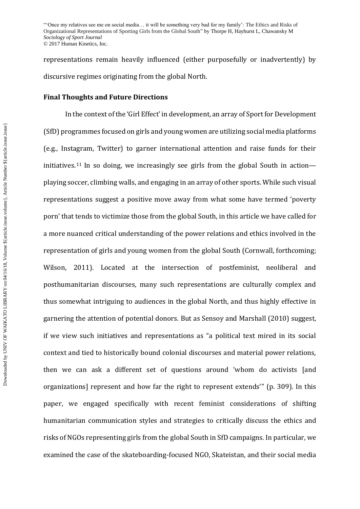representations remain heavily influenced (either purposefully or inadvertently) by discursive regimes originating from the global North.

### **Final Thoughts and Future Directions**

In the context of the 'Girl Effect' in development, an array of Sport for Development (SfD) programmes focused on girls and young women are utilizing social media platforms (e.g., Instagram, Twitter) to garner international attention and raise funds for their initiatives.<sup>11</sup> In so doing, we increasingly see girls from the global South in action playing soccer, climbing walls, and engaging in an array of other sports. While such visual representations suggest a positive move away from what some have termed 'poverty porn' that tends to victimize those from the global South, in this article we have called for a more nuanced critical understanding of the power relations and ethics involved in the representation of girls and young women from the global South (Cornwall, forthcoming; Wilson, 2011). Located at the intersection of postfeminist, neoliberal and posthumanitarian discourses, many such representations are culturally complex and thus somewhat intriguing to audiences in the global North, and thus highly effective in garnering the attention of potential donors. But as Sensoy and Marshall (2010) suggest, if we view such initiatives and representations as "a political text mired in its social context and tied to historically bound colonial discourses and material power relations, then we can ask a different set of questions around 'whom do activists [and organizations] represent and how far the right to represent extends'" (p. 309). In this paper, we engaged specifically with recent feminist considerations of shifting humanitarian communication styles and strategies to critically discuss the ethics and risks of NGOs representing girls from the global South in SfD campaigns. In particular, we examined the case of the skateboarding-focused NGO, Skateistan, and their social media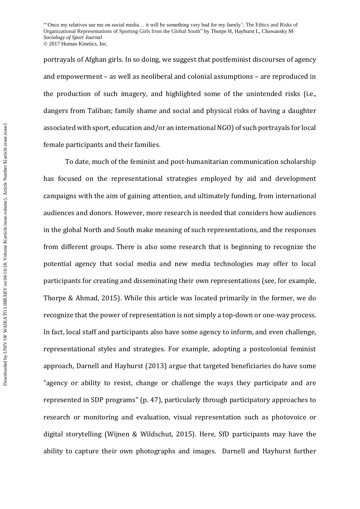portrayals of Afghan girls. In so doing, we suggest that postfeminist discourses of agency and empowerment – as well as neoliberal and colonial assumptions – are reproduced in the production of such imagery, and highlighted some of the unintended risks (i.e., dangers from Taliban; family shame and social and physical risks of having a daughter associated with sport, education and/or an international NGO) of such portrayals for local female participants and their families.

To date, much of the feminist and post-humanitarian communication scholarship has focused on the representational strategies employed by aid and development campaigns with the aim of gaining attention, and ultimately funding, from international audiences and donors. However, more research is needed that considers how audiences in the global North and South make meaning of such representations, and the responses from different groups. There is also some research that is beginning to recognize the potential agency that social media and new media technologies may offer to local participants for creating and disseminating their own representations (see, for example, Thorpe & Ahmad, 2015). While this article was located primarily in the former, we do recognize that the power of representation is not simply a top-down or one-way process. In fact, local staff and participants also have some agency to inform, and even challenge, representational styles and strategies. For example, adopting a postcolonial feminist approach, Darnell and Hayhurst (2013) argue that targeted beneficiaries do have some "agency or ability to resist, change or challenge the ways they participate and are represented in SDP programs" (p. 47), particularly through participatory approaches to research or monitoring and evaluation, visual representation such as photovoice or digital storytelling (Wijnen & Wildschut, 2015). Here, SfD participants may have the ability to capture their own photographs and images. Darnell and Hayhurst further

<sup>&</sup>quot;'Once my relatives see me on social media… it will be something very bad for my family': The Ethics and Risks of Organizational Representations of Sporting Girls from the Global South" by Thorpe H, Hayhurst L, Chawansky M *Sociology of Sport Journal* © 2017 Human Kinetics, Inc.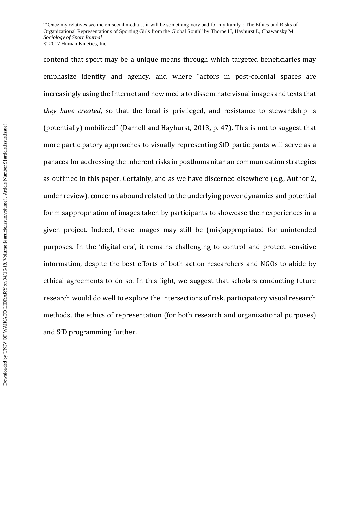contend that sport may be a unique means through which targeted beneficiaries may emphasize identity and agency, and where "actors in post-colonial spaces are increasingly using the Internet and new media to disseminate visual images and texts that *they have created*, so that the local is privileged, and resistance to stewardship is (potentially) mobilized" (Darnell and Hayhurst, 2013, p. 47). This is not to suggest that more participatory approaches to visually representing SfD participants will serve as a panacea for addressing the inherent risks in posthumanitarian communication strategies as outlined in this paper. Certainly, and as we have discerned elsewhere (e.g., Author 2, under review), concerns abound related to the underlying power dynamics and potential for misappropriation of images taken by participants to showcase their experiences in a given project. Indeed, these images may still be (mis)appropriated for unintended purposes. In the 'digital era', it remains challenging to control and protect sensitive information, despite the best efforts of both action researchers and NGOs to abide by ethical agreements to do so. In this light, we suggest that scholars conducting future research would do well to explore the intersections of risk, participatory visual research methods, the ethics of representation (for both research and organizational purposes) and SfD programming further.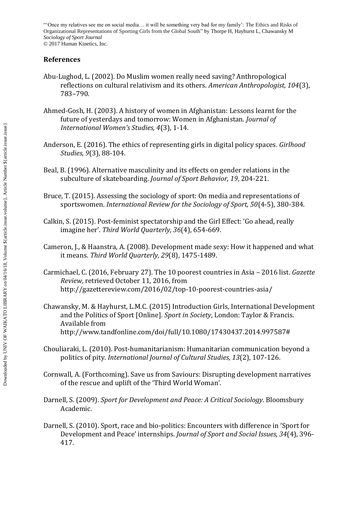# © 2017 Human Kinetics, Inc.

# **References**

- Abu-Lughod, L. (2002). Do Muslim women really need saving? Anthropological reflections on cultural relativism and its others. *American Anthropologist, 104*(3), 783–790.
- Ahmed-Gosh, H. (2003). A history of women in Afghanistan: Lessons learnt for the future of yesterdays and tomorrow: Women in Afghanistan. *Journal of International Women's Studies, 4*(3), 1-14.
- Anderson, E. (2016). The ethics of representing girls in digital policy spaces. *Girlhood Studies, 9*(3), 88-104.
- Beal, B. (1996). Alternative masculinity and its effects on gender relations in the subculture of skateboarding. *Journal of Sport Behavior, 19*, 204-221.
- Bruce, T. (2015). Assessing the sociology of sport: On media and representations of sportswomen. *International Review for the Sociology of Sport, 50*(4-5), 380-384.
- Calkin, S. (2015). Post-feminist spectatorship and the Girl Effect: 'Go ahead, really imagine her'. *Third World Quarterly, 36*(4), 654-669.
- Cameron, J., & Haanstra, A. (2008). Development made sexy: How it happened and what it means. *Third World Quarterly, 29*(8), 1475-1489.
- Carmichael, C. (2016, February 27). The 10 poorest countries in Asia 2016 list. *Gazette Review*, retrieved October 11, 2016, from http://gazettereview.com/2016/02/top-10-poorest-countries-asia/
- Chawansky, M. & Hayhurst, L.M.C. (2015) Introduction Girls, International Development and the Politics of Sport [Online]. *Sport in Society*, London: Taylor & Francis. Available from http://www.tandfonline.com/doi/full/10.1080/17430437.2014.997587#
- Chouliaraki, L. (2010). Post-humanitarianism: Humanitarian communication beyond a politics of pity. *International Journal of Cultural Studies, 13*(2), 107-126.
- Cornwall, A. (Forthcoming). Save us from Saviours: Disrupting development narratives of the rescue and uplift of the 'Third World Woman'.
- Darnell, S. (2009). *Sport for Development and Peace: A Critical Sociology*. Bloomsbury Academic.
- Darnell, S. (2010). Sport, race and bio-politics: Encounters with difference in 'Sport for Development and Peace' internships. *Journal of Sport and Social Issues, 34*(4), 396- 417.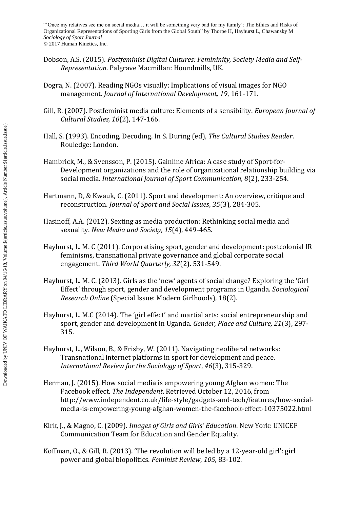- Dobson, A.S. (2015). *Postfeminist Digital Cultures: Femininity, Society Media and Self-Representation*. Palgrave Macmillan: Houndmills, UK.
- Dogra, N. (2007). Reading NGOs visually: Implications of visual images for NGO management. *Journal of International Development, 19*, 161-171.
- Gill, R. (2007). Postfeminist media culture: Elements of a sensibility. *European Journal of Cultural Studies, 10*(2), 147-166.
- Hall, S. (1993). Encoding, Decoding. In S. During (ed), *The Cultural Studies Reader*. Rouledge: London.
- Hambrick, M., & Svensson, P. (2015). Gainline Africa: A case study of Sport-for-Development organizations and the role of organizational relationship building via social media. *International Journal of Sport Communication, 8*(2), 233-254.
- Hartmann, D, & Kwauk, C. (2011). Sport and development: An overview, critique and reconstruction. *Journal of Sport and Social Issues*, *35*(3), 284-305.
- Hasinoff, A.A. (2012). Sexting as media production: Rethinking social media and sexuality. *New Media and Society, 15*(4), 449-465.
- Hayhurst, L. M. C (2011). Corporatising sport, gender and development: postcolonial IR feminisms, transnational private governance and global corporate social engagement. *Third World Quarterly, 32*(2). 531-549.
- Hayhurst, L. M. C. (2013). Girls as the 'new' agents of social change? Exploring the 'Girl Effect' through sport, gender and development programs in Uganda. *Sociological Research Online* (Special Issue: Modern Girlhoods), 18(2).
- Hayhurst, L. M.C (2014). The 'girl effect' and martial arts: social entrepreneurship and sport, gender and development in Uganda. *Gender, Place and Culture, 21*(3), 297- 315.
- Hayhurst, L., Wilson, B., & Frisby, W. (2011). Navigating neoliberal networks: Transnational internet platforms in sport for development and peace. *International Review for the Sociology of Sport*, *46*(3), 315-329.
- Herman, J. (2015). How social media is empowering young Afghan women: The Facebook effect. *The Independent*. Retrieved October 12, 2016, from http://www.independent.co.uk/life-style/gadgets-and-tech/features/how-socialmedia-is-empowering-young-afghan-women-the-facebook-effect-10375022.html
- Kirk, J., & Magno, C. (2009). *Images of Girls and Girls' Education*. New York: UNICEF Communication Team for Education and Gender Equality.
- Koffman, O., & Gill, R. (2013). 'The revolution will be led by a 12-year-old girl': girl power and global biopolitics. *Feminist Review*, *105*, 83-102.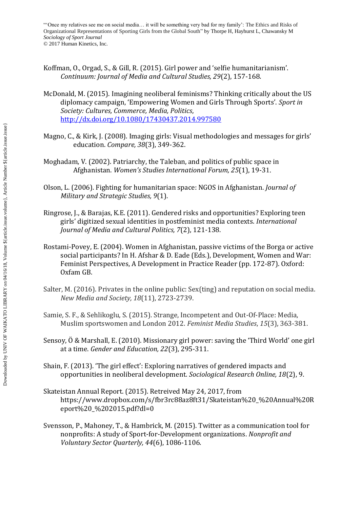- Koffman, O., Orgad, S., & Gill, R. (2015). Girl power and 'selfie humanitarianism'. *Continuum: Journal of Media and Cultural Studies, 29*(2), 157-168.
- McDonald, M. (2015). Imagining neoliberal feminisms? Thinking critically about the US diplomacy campaign, 'Empowering Women and Girls Through Sports'. *Sport in Society: Cultures, Commerce, Media, Politics*, <http://dx.doi.org/10.1080/17430437.2014.997580>
- Magno, C., & Kirk, J. (2008). Imaging girls: Visual methodologies and messages for girls' education. *Compare, 38*(3), 349-362.
- Moghadam, V. (2002). Patriarchy, the Taleban, and politics of public space in Afghanistan. *Women's Studies International Forum, 25*(1), 19-31.
- Olson, L. (2006). Fighting for humanitarian space: NGOS in Afghanistan. *Journal of Military and Strategic Studies, 9*(1).
- Ringrose, J., & Barajas, K.E. (2011). Gendered risks and opportunities? Exploring teen girls' digitized sexual identities in postfeminist media contexts. *International Journal of Media and Cultural Politics, 7*(2), 121-138.
- Rostami-Povey, E. (2004). Women in Afghanistan, passive victims of the Borga or active social participants? In H. Afshar & D. Eade (Eds.), Development, Women and War: Feminist Perspectives, A Development in Practice Reader (pp. 172-87). Oxford: Oxfam GB.
- Salter, M. (2016). Privates in the online public: Sex(ting) and reputation on social media. *New Media and Society, 18*(11), 2723-2739.
- Samie, S. F., & Sehlikoglu, S. (2015). Strange, Incompetent and Out-Of-Place: Media, Muslim sportswomen and London 2012. *Feminist Media Studies*, *15*(3), 363-381.
- Sensoy, Ö & Marshall, E. (2010). Missionary girl power: saving the 'Third World' one girl at a time. *Gender and Education, 22*(3), 295-311.
- Shain, F. (2013). 'The girl effect': Exploring narratives of gendered impacts and opportunities in neoliberal development. *Sociological Research Online, 18*(2), 9.
- Skateistan Annual Report. (2015). Retreived May 24, 2017, from https://www.dropbox.com/s/fbr3rc88az8ft31/Skateistan%20\_%20Annual%20R eport%20\_%202015.pdf?dl=0
- Svensson, P., Mahoney, T., & Hambrick, M. (2015). Twitter as a communication tool for nonprofits: A study of Sport-for-Development organizations. *Nonprofit and Voluntary Sector Quarterly, 44*(6), 1086-1106.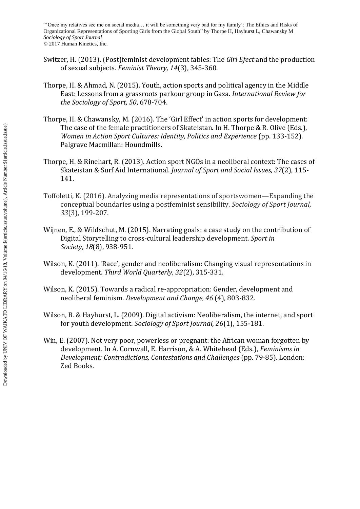- Switzer, H. (2013). (Post)feminist development fables: The *Girl Efect* and the production of sexual subjects. *Feminist Theory, 14*(3), 345-360.
- Thorpe, H. & Ahmad, N. (2015). Youth, action sports and political agency in the Middle East: Lessons from a grassroots parkour group in Gaza. *International Review for the Sociology of Sport, 50*, 678-704.
- Thorpe, H. & Chawansky, M. (2016). The 'Girl Effect' in action sports for development: The case of the female practitioners of Skateistan. In H. Thorpe & R. Olive (Eds.), *Women in Action Sport Cultures: Identity, Politics and Experience* (pp. 133-152). Palgrave Macmillan: Houndmills.
- Thorpe, H. & Rinehart, R. (2013). Action sport NGOs in a neoliberal context: The cases of Skateistan & Surf Aid International. *Journal of Sport and Social Issues, 37*(2), 115- 141.
- Toffoletti, K. (2016). Analyzing media representations of sportswomen—Expanding the conceptual boundaries using a postfeminist sensibility. *Sociology of Sport Journal*, *33*(3), 199-207.
- Wijnen, E., & Wildschut, M. (2015). Narrating goals: a case study on the contribution of Digital Storytelling to cross-cultural leadership development. *Sport in Society*, *18*(8), 938-951.
- Wilson, K. (2011). 'Race', gender and neoliberalism: Changing visual representations in development. *Third World Quarterly, 32*(2), 315-331.
- Wilson, K. (2015). Towards a radical re-appropriation: Gender, development and neoliberal feminism. *Development and Change, 46* (4), 803-832.
- Wilson, B. & Hayhurst, L. (2009). Digital activism: Neoliberalism, the internet, and sport for youth development. *Sociology of Sport Journal, 26*(1), 155-181.
- Win, E. (2007). Not very poor, powerless or pregnant: the African woman forgotten by development. In A. Cornwall, E. Harrison, & A. Whitehead (Eds.), *Feminisms in Development: Contradictions, Contestations and Challenges* (pp. 79-85). London: Zed Books.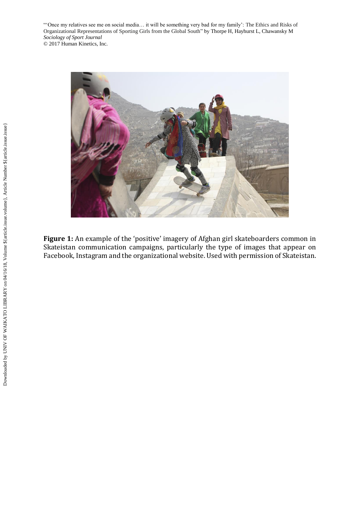© 2017 Human Kinetics, Inc.



**Figure 1:** An example of the 'positive' imagery of Afghan girl skateboarders common in Skateistan communication campaigns, particularly the type of images that appear on Facebook, Instagram and the organizational website. Used with permission of Skateistan.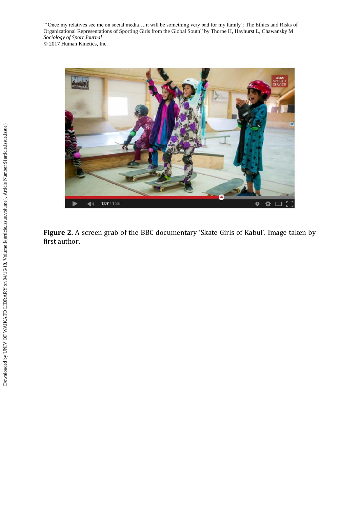© 2017 Human Kinetics, Inc.



**Figure 2.** A screen grab of the BBC documentary 'Skate Girls of Kabul'. Image taken by first author.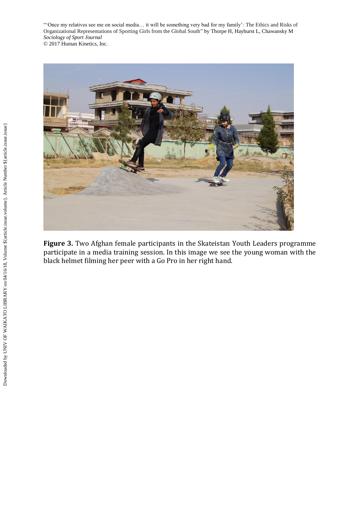© 2017 Human Kinetics, Inc.



**Figure 3.** Two Afghan female participants in the Skateistan Youth Leaders programme participate in a media training session. In this image we see the young woman with the black helmet filming her peer with a Go Pro in her right hand.